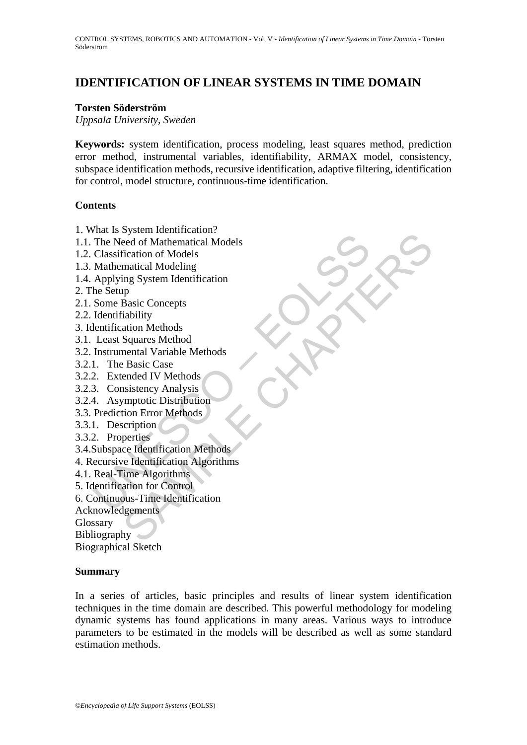# **IDENTIFICATION OF LINEAR SYSTEMS IN TIME DOMAIN**

#### **Torsten Söderström**

*Uppsala University, Sweden* 

**Keywords:** system identification, process modeling, least squares method, prediction error method, instrumental variables, identifiability, ARMAX model, consistency, subspace identification methods, recursive identification, adaptive filtering, identification for control, model structure, continuous-time identification.

#### **Contents**

- 1. What Is System Identification?
- The Need of Mathematical<br>
The Need of Mathematical Models<br>
Classification of Models<br>
Classification of Models<br>
Mathematical Modeling<br>
Applying System Identification<br>
Some Basic Concepts<br>
Identifiability<br>
lentification Meth system Identification<br>
organization<br>
deed of Mathematical Models<br>
fication of Models<br>
matical Modeling<br>
matical Modeling<br>
System Identification<br>
says Concepts<br>
ation Methods<br>
Squares Method<br>
sended IV Methods<br>
ended IV Met 1.1. The Need of Mathematical Models
- 1.2. Classification of Models
- 1.3. Mathematical Modeling
- 1.4. Applying System Identification
- 2. The Setup
- 2.1. Some Basic Concepts
- 2.2. Identifiability
- 3. Identification Methods
- 3.1. Least Squares Method
- 3.2. Instrumental Variable Methods
- 3.2.1. The Basic Case
- 3.2.2. Extended IV Methods
- 3.2.3. Consistency Analysis
- 3.2.4. Asymptotic Distribution
- 3.3. Prediction Error Methods
- 3.3.1. Description
- 3.3.2. Properties
- 3.4.Subspace Identification Methods
- 4. Recursive Identification Algorithms
- 4.1. Real-Time Algorithms
- 5. Identification for Control
- 6. Continuous-Time Identification
- Acknowledgements

Glossary

Bibliography

Biographical Sketch

#### **Summary**

In a series of articles, basic principles and results of linear system identification techniques in the time domain are described. This powerful methodology for modeling dynamic systems has found applications in many areas. Various ways to introduce parameters to be estimated in the models will be described as well as some standard estimation methods.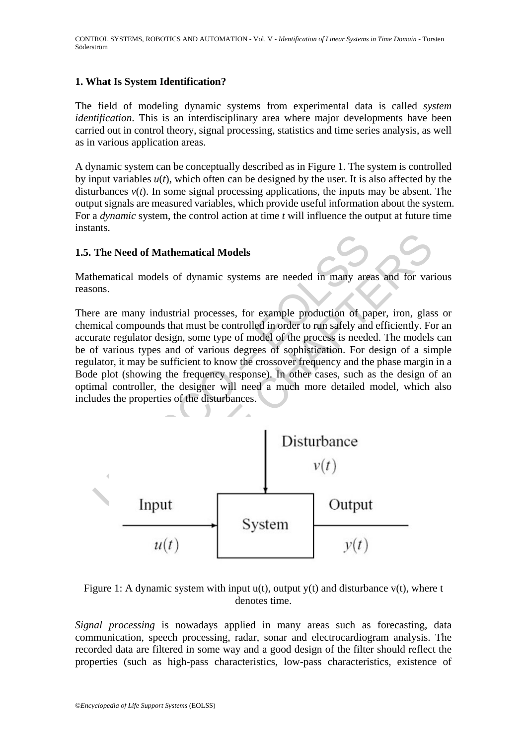# **1. What Is System Identification?**

The field of modeling dynamic systems from experimental data is called *system identification*. This is an interdisciplinary area where major developments have been carried out in control theory, signal processing, statistics and time series analysis, as well as in various application areas.

A dynamic system can be conceptually described as in Figure 1. The system is controlled by input variables  $u(t)$ , which often can be designed by the user. It is also affected by the disturbances  $v(t)$ . In some signal processing applications, the inputs may be absent. The output signals are measured variables, which provide useful information about the system. For a *dynamic* system, the control action at time *t* will influence the output at future time instants.

#### **1.5. The Need of Mathematical Models**

Mathematical models of dynamic systems are needed in many areas and for various reasons.

The Need of Mathematical Models<br>
hematical models of dynamic systems are needed in many are<br>
ons.<br>
The area many industrial processes, for example production of pa<br>
mical compounds that must be controlled in order to run There are many industrial processes, for example production of paper, iron, glass or chemical compounds that must be controlled in order to run safely and efficiently. For an accurate regulator design, some type of model of the process is needed. The models can be of various types and of various degrees of sophistication. For design of a simple regulator, it may be sufficient to know the crossover frequency and the phase margin in a Bode plot (showing the frequency response). In other cases, such as the design of an optimal controller, the designer will need a much more detailed model, which also includes the properties of the disturbances.



Figure 1: A dynamic system with input  $u(t)$ , output  $v(t)$  and disturbance  $v(t)$ , where t denotes time.

*Signal processing* is nowadays applied in many areas such as forecasting, data communication, speech processing, radar, sonar and electrocardiogram analysis. The recorded data are filtered in some way and a good design of the filter should reflect the properties (such as high-pass characteristics, low-pass characteristics, existence of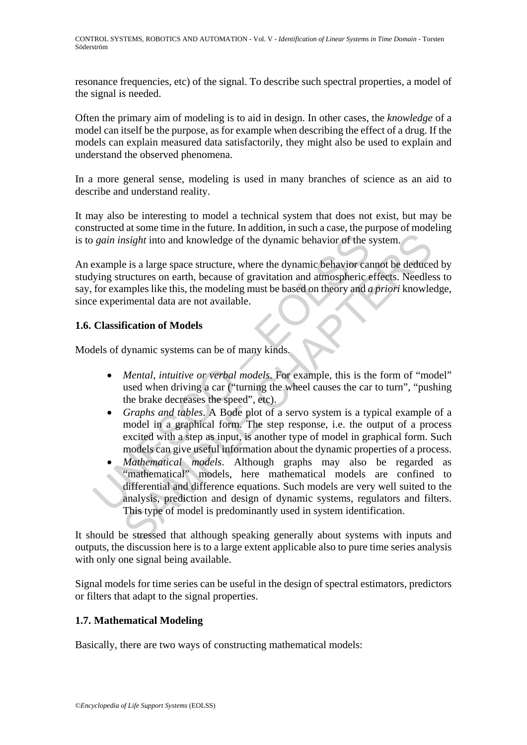resonance frequencies, etc) of the signal. To describe such spectral properties, a model of the signal is needed.

Often the primary aim of modeling is to aid in design. In other cases, the *knowledge* of a model can itself be the purpose, as for example when describing the effect of a drug. If the models can explain measured data satisfactorily, they might also be used to explain and understand the observed phenomena.

In a more general sense, modeling is used in many branches of science as an aid to describe and understand reality.

It may also be interesting to model a technical system that does not exist, but may be constructed at some time in the future. In addition, in such a case, the purpose of modeling is to *gain insight* into and knowledge of the dynamic behavior of the system.

An example is a large space structure, where the dynamic behavior cannot be deduced by studying structures on earth, because of gravitation and atmospheric effects. Needless to say, for examples like this, the modeling must be based on theory and *a priori* knowledge, since experimental data are not available.

# **1.6. Classification of Models**

Models of dynamic systems can be of many kinds.

- *Mental*, *intuitive or verbal models*. For example, this is the form of "model" used when driving a car ("turning the wheel causes the car to turn", "pushing the brake decreases the speed", etc).
- *Graphs and tables*. A Bode plot of a servo system is a typical example of a model in a graphical form. The step response, i.e. the output of a process excited with a step as input, is another type of model in graphical form. Such models can give useful information about the dynamic properties of a process.
- *sain insight* into and knowledge of the dynamic behavior of the example is a large space structure, where the dynamic behavior car (in examples like this, the modeling must be based on theory and *a* experimental data are *A* straight into and knowledge of the dynamic behavior of the system.<br>
E is a large space structure, where the dynamic behavior of the system.<br>
Figure is a large space structure, where the dynamic behavior cannot be deduc • *Mathematical models*. Although graphs may also be regarded as "mathematical" models, here mathematical models are confined to differential and difference equations. Such models are very well suited to the analysis, prediction and design of dynamic systems, regulators and filters. This type of model is predominantly used in system identification.

It should be stressed that although speaking generally about systems with inputs and outputs, the discussion here is to a large extent applicable also to pure time series analysis with only one signal being available.

Signal models for time series can be useful in the design of spectral estimators, predictors or filters that adapt to the signal properties.

# **1.7. Mathematical Modeling**

Basically, there are two ways of constructing mathematical models: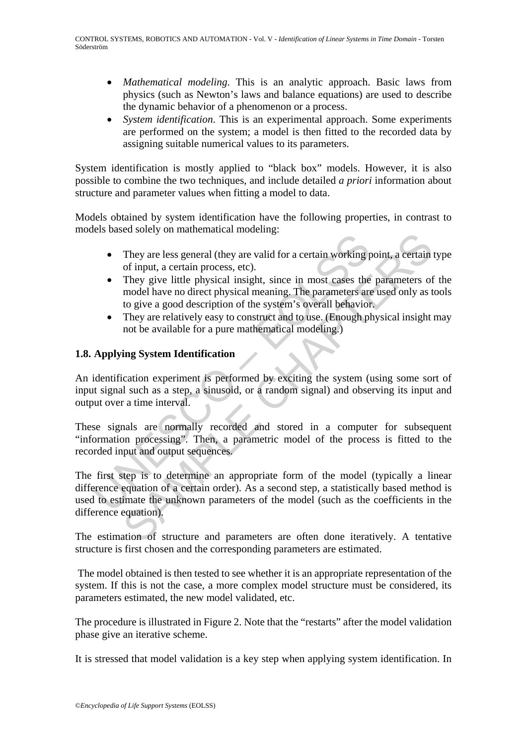- *Mathematical modeling*. This is an analytic approach. Basic laws from physics (such as Newton's laws and balance equations) are used to describe the dynamic behavior of a phenomenon or a process.
- *System identification*. This is an experimental approach. Some experiments are performed on the system; a model is then fitted to the recorded data by assigning suitable numerical values to its parameters.

System identification is mostly applied to "black box" models. However, it is also possible to combine the two techniques, and include detailed *a priori* information about structure and parameter values when fitting a model to data.

Models obtained by system identification have the following properties, in contrast to models based solely on mathematical modeling:

- They are less general (they are valid for a certain working point, a certain type of input, a certain process, etc).
- They give little physical insight, since in most cases the parameters of the model have no direct physical meaning. The parameters are used only as tools to give a good description of the system's overall behavior.
- They are relatively easy to construct and to use. (Enough physical insight may not be available for a pure mathematical modeling.)

# **1.8. Applying System Identification**

An identification experiment is performed by exciting the system (using some sort of input signal such as a step, a sinusoid, or a random signal) and observing its input and output over a time interval.

These signals are normally recorded and stored in a computer for subsequent "information processing". Then, a parametric model of the process is fitted to the recorded input and output sequences.

They are less general (they are valid for a certain working r<br>
They are less general (they are valid for a certain working r<br>
of input, a certain process, etc).<br>
They give little physical mesignt, since in most cases the<br> They are less general (they are valid for a certain working point, a certain<br>of input, a certain process, etc).<br>They give little physical insight, since in most cases the parameters of<br>model have no direct physical insight The first step is to determine an appropriate form of the model (typically a linear difference equation of a certain order). As a second step, a statistically based method is used to estimate the unknown parameters of the model (such as the coefficients in the difference equation).

The estimation of structure and parameters are often done iteratively. A tentative structure is first chosen and the corresponding parameters are estimated.

 The model obtained is then tested to see whether it is an appropriate representation of the system. If this is not the case, a more complex model structure must be considered, its parameters estimated, the new model validated, etc.

The procedure is illustrated in Figure 2. Note that the "restarts" after the model validation phase give an iterative scheme.

It is stressed that model validation is a key step when applying system identification. In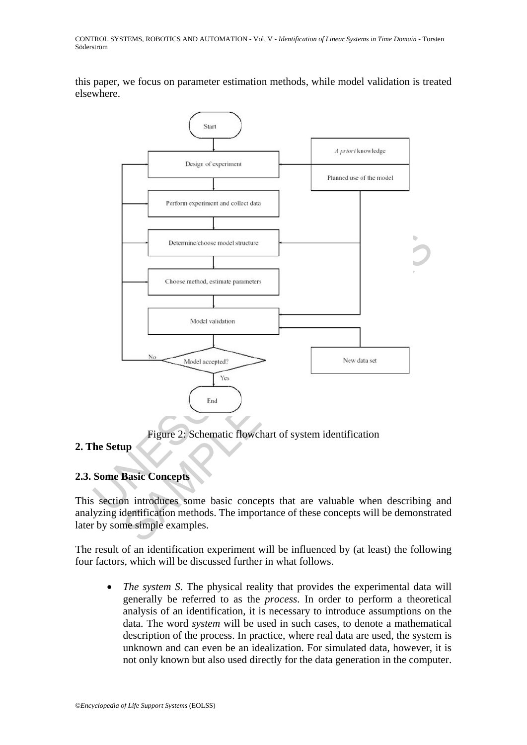this paper, we focus on parameter estimation methods, while model validation is treated elsewhere.



Figure 2: Schematic flowchart of system identification

# **2. The Setup**

# **2.3. Some Basic Concepts**

This section introduces some basic concepts that are valuable when describing and analyzing identification methods. The importance of these concepts will be demonstrated later by some simple examples.

The result of an identification experiment will be influenced by (at least) the following four factors, which will be discussed further in what follows.

• *The system S*. The physical reality that provides the experimental data will generally be referred to as the *process*. In order to perform a theoretical analysis of an identification, it is necessary to introduce assumptions on the data. The word *system* will be used in such cases, to denote a mathematical description of the process. In practice, where real data are used, the system is unknown and can even be an idealization. For simulated data, however, it is not only known but also used directly for the data generation in the computer.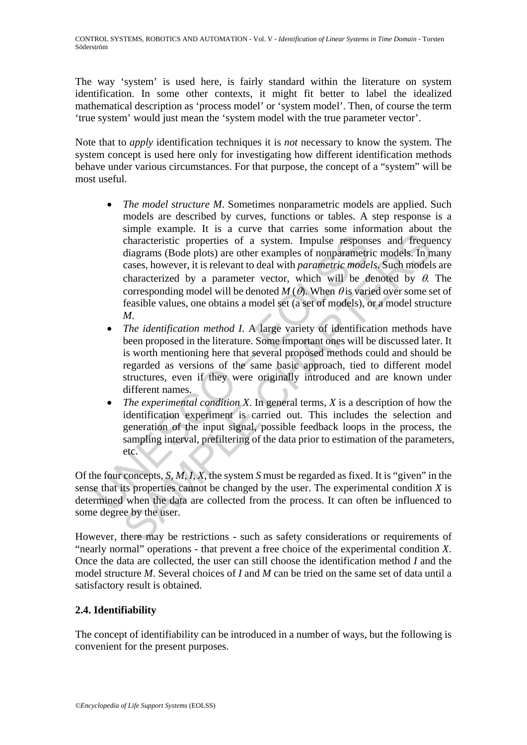The way 'system' is used here, is fairly standard within the literature on system identification. In some other contexts, it might fit better to label the idealized mathematical description as 'process model' or 'system model'. Then, of course the term 'true system' would just mean the 'system model with the true parameter vector'.

Note that to *apply* identification techniques it is *not* necessary to know the system. The system concept is used here only for investigating how different identification methods behave under various circumstances. For that purpose, the concept of a "system" will be most useful.

- characteristic properties of a system. Impulse response diagrams (Bode plots) are other examples of nonparametric cases, however, it is relevant to deal with *parametric mode* characterized by a parameter vector, which wi shape continuous to the sum control manner control and the same conceptions. The cases, however, it is relevant to deal with *parametric models*. In pracases, however, it is relevant to deal with *parametric models*. Such • *The model structure M*. Sometimes nonparametric models are applied. Such models are described by curves, functions or tables. A step response is a simple example. It is a curve that carries some information about the characteristic properties of a system. Impulse responses and frequency diagrams (Bode plots) are other examples of nonparametric models. In many cases, however, it is relevant to deal with *parametric models*. Such models are characterized by a parameter vector, which will be denoted by  $\theta$ . The corresponding model will be denoted  $M(\theta)$ . When  $\theta$  is varied over some set of feasible values, one obtains a model set (a set of models), or a model structure *M*.
	- *The identification method I*. A large variety of identification methods have been proposed in the literature. Some important ones will be discussed later. It is worth mentioning here that several proposed methods could and should be regarded as versions of the same basic approach, tied to different model structures, even if they were originally introduced and are known under different names.
	- *The experimental condition X*. In general terms, *X* is a description of how the identification experiment is carried out. This includes the selection and generation of the input signal, possible feedback loops in the process, the sampling interval, prefiltering of the data prior to estimation of the parameters, etc.

Of the four concepts, *S*, *M*, *I*, *X*, the system *S* must be regarded as fixed. It is "given" in the sense that its properties cannot be changed by the user. The experimental condition *X* is determined when the data are collected from the process. It can often be influenced to some degree by the user.

However, there may be restrictions - such as safety considerations or requirements of "nearly normal" operations - that prevent a free choice of the experimental condition *X*. Once the data are collected, the user can still choose the identification method *I* and the model structure *M*. Several choices of *I* and *M* can be tried on the same set of data until a satisfactory result is obtained.

# **2.4. Identifiability**

The concept of identifiability can be introduced in a number of ways, but the following is convenient for the present purposes.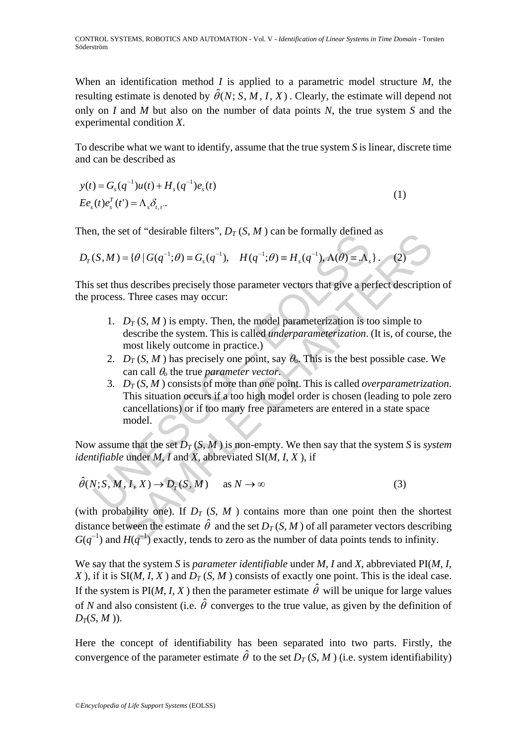When an identification method *I* is applied to a parametric model structure *M*, the resulting estimate is denoted by  $\hat{\theta}(N; S, M, I, X)$ . Clearly, the estimate will depend not only on *I* and *M* but also on the number of data points *N*, the true system *S* and the experimental condition *X*.

To describe what we want to identify, assume that the true system *S* is linear, discrete time and can be described as

 $y(t) = G<sub>s</sub>(q<sup>-1</sup>)u(t) + H<sub>s</sub>(q<sup>-1</sup>)e<sub>s</sub>(t)$  $(t)e_s^T(t') = \Lambda_s \delta_{t,t}.$  $E e_s(t) e_s^T(t') = \Lambda_s \delta_{t,t}$  $= \Lambda_s \delta_{t,t}.$  (1)

Then, the set of "desirable filters",  $D_T(S, M)$  can be formally defined as

$$
D_T(S,M) = \{ \theta \mid G(q^{-1}; \theta) \equiv G_s(q^{-1}), \quad H(q^{-1}; \theta) \equiv H_s(q^{-1}), \Lambda(\theta) \equiv \Lambda_s \}.
$$
 (2)

This set thus describes precisely those parameter vectors that give a perfect description of the process. Three cases may occur:

- 1.  $D_T(S, M)$  is empty. Then, the model parameterization is too simple to describe the system. This is called *underparameterization*. (It is, of course, the most likely outcome in practice.)
- 2.  $D_T(S, M)$  has precisely one point, say  $\theta_0$ . This is the best possible case. We can call θ*o* the true *parameter vector*.
- (S, M) = { $\theta$  |  $G(q^{-1}; \theta) \equiv G_s(q^{-1})$ ,  $H(q^{-1}; \theta) \equiv H_s(q^{-1})$ ,  $A(\theta) \equiv A_s$ <br>set thus describes precisely those parameter vectors that give a pe<br>process. Three cases may occur:<br>1.  $D_T(S, M)$  is empty. Then, the model parameterizatio et of destrable filters ,  $D_T(s, M)$  can be formally defined as<br>  $= \{\theta | G(q^{-1}; \theta) = G_s(q^{-1}), H(q^{-1}; \theta) = H_s(q^{-1}), \Lambda(\theta) = \Lambda_s \}$ . (2)<br>
is describes precisely those parameter vectors that give a perfect descriptic<br>
Three cases may occur:<br> 3.  $D_T(S, M)$  consists of more than one point. This is called *overparametrization*. This situation occurs if a too high model order is chosen (leading to pole zero cancellations) or if too many free parameters are entered in a state space model.

Now assume that the set  $D_T(S, M)$  is non-empty. We then say that the system *S* is *system identifiable* under *M*, *I* and *X*, abbreviated SI(*M*, *I*, *X* ), if

$$
\hat{\theta}(N; S, M, I, X) \to D_T(S, M) \quad \text{as } N \to \infty
$$
 (3)

(with probability one). If  $D_T$  (*S*, *M*) contains more than one point then the shortest distance between the estimate  $\hat{\theta}$  and the set  $D_T(S, M)$  of all parameter vectors describing  $G(q^{-1})$  and  $H(q^{-1})$  exactly, tends to zero as the number of data points tends to infinity.

We say that the system *S* is *parameter identifiable* under *M*, *I* and *X*, abbreviated PI(*M*, *I*, *X*), if it is  $SI(M, I, X)$  and  $D_T(S, M)$  consists of exactly one point. This is the ideal case. If the system is  $PI(M, I, X)$  then the parameter estimate  $\hat{\theta}$  will be unique for large values of *N* and also consistent (i.e.  $\hat{\theta}$  converges to the true value, as given by the definition of  $D_T(S, M)$ ).

Here the concept of identifiability has been separated into two parts. Firstly, the convergence of the parameter estimate  $\hat{\theta}$  to the set  $D_T(S, M)$  (i.e. system identifiability)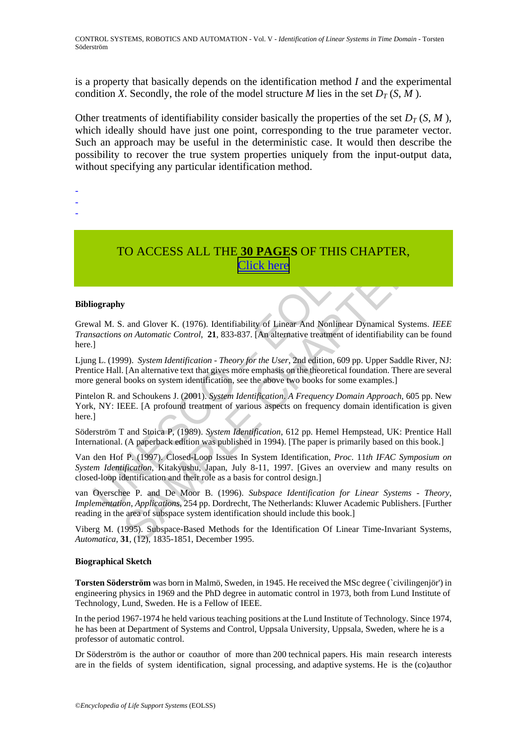is a property that basically depends on the identification method *I* and the experimental condition *X*. Secondly, the role of the model structure *M* lies in the set  $D_T(S, M)$ .

Other treatments of identifiability consider basically the properties of the set  $D_T(S, M)$ , which ideally should have just one point, corresponding to the true parameter vector. Such an approach may be useful in the deterministic case. It would then describe the possibility to recover the true system properties uniquely from the input-output data, without specifying any particular identification method.

- -
- -
- TO ACCESS ALL THE **30 PAGES** OF THIS CHAPTER, Click here

#### **Bibliography**

**TO ACCESS ALL THE 30 PAGES OF THIS CHA**<br> **Click here**<br> **Click here**<br> **Click here**<br> **Click here**<br> **Click here**<br> **Click here**<br> **Click here**<br> **Click here**<br> **Click here**<br> **Click here**<br> **Click here**<br> **Click here**<br> **Click here FORMALL THE 30 PAGES OF THIS CHAPTER,**<br> **Click here**<br> **Click here**<br> **Click here**<br> **Click here**<br> **SAMPLE CHAPTER**,<br> **Click here**<br> **SAMPLE CONTON CONTABY**<br> **CONTEX AND ADMEDIFY**<br> **CONTABY**<br> **CONTABY**<br> **CONTABY**<br> **CONTABY**<br> Grewal M. S. and Glover K. (1976). Identifiability of Linear And Nonlinear Dynamical Systems. *IEEE Transactions on Automatic Control*, **21**, 833-837. [An alternative treatment of identifiability can be found here.]

Ljung L. (1999). *System Identification* - *Theory for the User*, 2nd edition, 609 pp. Upper Saddle River, NJ: Prentice Hall. [An alternative text that gives more emphasis on the theoretical foundation. There are several more general books on system identification, see the above two books for some examples.]

Pintelon R. and Schoukens J. (2001). *System Identification*. *A Frequency Domain Approach*, 605 pp. New York, NY: IEEE. [A profound treatment of various aspects on frequency domain identification is given here.]

Söderström T and Stoica P, (1989). *System Identification*, 612 pp. Hemel Hempstead, UK: Prentice Hall International. (A paperback edition was published in 1994). [The paper is primarily based on this book.]

Van den Hof P. (1997). Closed-Loop Issues In System Identification, *Proc*. 11*th IFAC Symposium on System Identification*, Kitakyushu, Japan, July 8-11, 1997. [Gives an overview and many results on closed-loop identification and their role as a basis for control design.]

van Overschee P. and De Moor B. (1996). *Subspace Identification for Linear Systems* - *Theory*, *Implementation*, *Applications*, 254 pp. Dordrecht, The Netherlands: Kluwer Academic Publishers. [Further reading in the area of subspace system identification should include this book.]

Viberg M. (1995). Subspace-Based Methods for the Identification Of Linear Time-Invariant Systems, *Automatica*, **31**, (12), 1835-1851, December 1995.

#### **Biographical Sketch**

**Torsten Söderström** was born in Malmö, Sweden, in 1945. He received the MSc degree (`civilingenjör') in engineering physics in 1969 and the PhD degree in automatic control in 1973, both from Lund Institute of Technology, Lund, Sweden. He is a Fellow of IEEE.

In the period 1967-1974 he held various teaching positions at the Lund Institute of Technology. Since 1974, he has been at Department of Systems and Control, Uppsala University, Uppsala, Sweden, where he is a professor of automatic control.

Dr Söderström is the author or coauthor of more than 200 technical papers. His main research interests are in the fields of system identification, signal processing, and adaptive systems. He is the (co)author